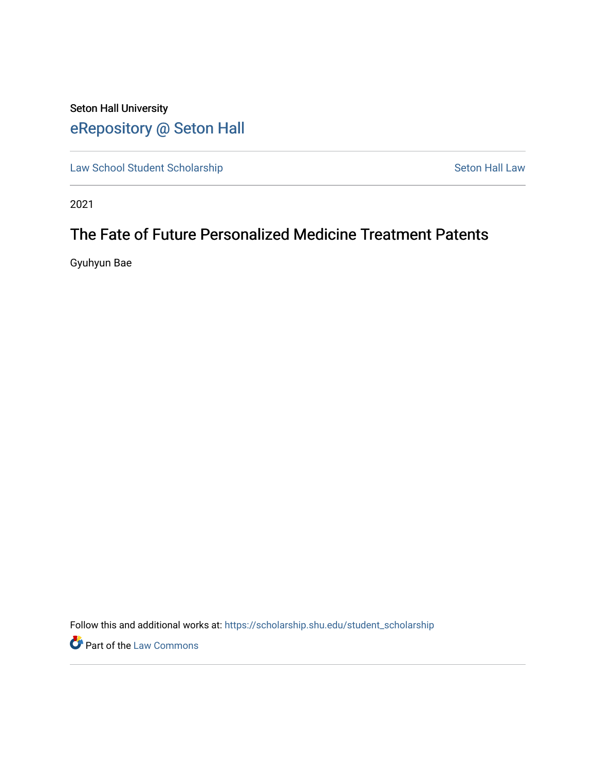# Seton Hall University [eRepository @ Seton Hall](https://scholarship.shu.edu/)

[Law School Student Scholarship](https://scholarship.shu.edu/student_scholarship) Seton Hall Law

2021

# The Fate of Future Personalized Medicine Treatment Patents

Gyuhyun Bae

Follow this and additional works at: [https://scholarship.shu.edu/student\\_scholarship](https://scholarship.shu.edu/student_scholarship?utm_source=scholarship.shu.edu%2Fstudent_scholarship%2F1242&utm_medium=PDF&utm_campaign=PDFCoverPages) 

**Part of the [Law Commons](http://network.bepress.com/hgg/discipline/578?utm_source=scholarship.shu.edu%2Fstudent_scholarship%2F1242&utm_medium=PDF&utm_campaign=PDFCoverPages)**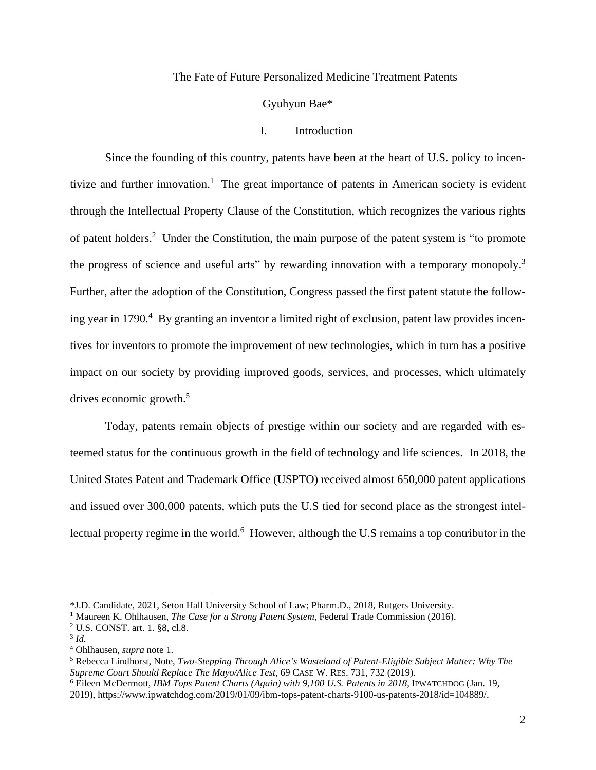#### The Fate of Future Personalized Medicine Treatment Patents

Gyuhyun Bae\*

# I. Introduction

Since the founding of this country, patents have been at the heart of U.S. policy to incentivize and further innovation. <sup>1</sup> The great importance of patents in American society is evident through the Intellectual Property Clause of the Constitution, which recognizes the various rights of patent holders.<sup>2</sup> Under the Constitution, the main purpose of the patent system is "to promote the progress of science and useful arts" by rewarding innovation with a temporary monopoly.<sup>3</sup> Further, after the adoption of the Constitution, Congress passed the first patent statute the following year in 1790.<sup>4</sup> By granting an inventor a limited right of exclusion, patent law provides incentives for inventors to promote the improvement of new technologies, which in turn has a positive impact on our society by providing improved goods, services, and processes, which ultimately drives economic growth. 5

Today, patents remain objects of prestige within our society and are regarded with esteemed status for the continuous growth in the field of technology and life sciences. In 2018, the United States Patent and Trademark Office (USPTO) received almost 650,000 patent applications and issued over 300,000 patents, which puts the U.S tied for second place as the strongest intellectual property regime in the world.<sup>6</sup> However, although the U.S remains a top contributor in the

<sup>4</sup> Ohlhausen, *supra* note 1.

<sup>\*</sup>J.D. Candidate, 2021, Seton Hall University School of Law; Pharm.D., 2018, Rutgers University.

<sup>1</sup> Maureen K. Ohlhausen, *The Case for a Strong Patent System*, Federal Trade Commission (2016).

<sup>2</sup> U.S. CONST. art. 1. §8, cl.8.

<sup>3</sup> *Id.*

<sup>5</sup> Rebecca Lindhorst, Note, *Two-Stepping Through Alice's Wasteland of Patent-Eligible Subject Matter: Why The Supreme Court Should Replace The Mayo/Alice Test*, 69 CASE W. RES. 731, 732 (2019).

<sup>6</sup> Eileen McDermott, *IBM Tops Patent Charts (Again) with 9,100 U.S. Patents in 2018,* IPWATCHDOG (Jan. 19, 2019), https://www.ipwatchdog.com/2019/01/09/ibm-tops-patent-charts-9100-us-patents-2018/id=104889/.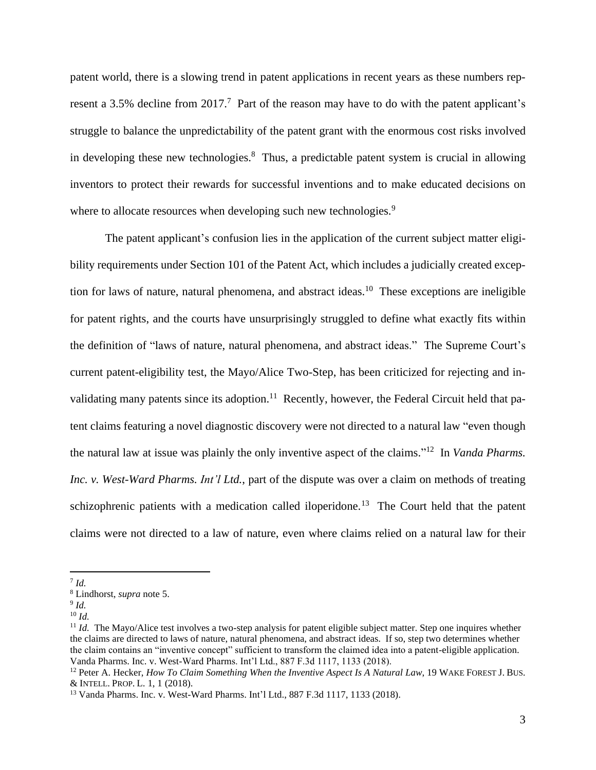patent world, there is a slowing trend in patent applications in recent years as these numbers represent a 3.5% decline from 2017.<sup>7</sup> Part of the reason may have to do with the patent applicant's struggle to balance the unpredictability of the patent grant with the enormous cost risks involved in developing these new technologies. $\delta$  Thus, a predictable patent system is crucial in allowing inventors to protect their rewards for successful inventions and to make educated decisions on where to allocate resources when developing such new technologies.<sup>9</sup>

The patent applicant's confusion lies in the application of the current subject matter eligibility requirements under Section 101 of the Patent Act, which includes a judicially created exception for laws of nature, natural phenomena, and abstract ideas.<sup>10</sup> These exceptions are ineligible for patent rights, and the courts have unsurprisingly struggled to define what exactly fits within the definition of "laws of nature, natural phenomena, and abstract ideas." The Supreme Court's current patent-eligibility test, the Mayo/Alice Two-Step, has been criticized for rejecting and invalidating many patents since its adoption.<sup>11</sup> Recently, however, the Federal Circuit held that patent claims featuring a novel diagnostic discovery were not directed to a natural law "even though the natural law at issue was plainly the only inventive aspect of the claims." 12 In *Vanda Pharms. Inc. v. West-Ward Pharms. Int'l Ltd.*, part of the dispute was over a claim on methods of treating schizophrenic patients with a medication called iloperidone.<sup>13</sup> The Court held that the patent claims were not directed to a law of nature, even where claims relied on a natural law for their

<sup>7</sup> *Id.*

<sup>8</sup> Lindhorst, *supra* note 5.

<sup>9</sup> *Id.*

<sup>10</sup> *Id.*

<sup>&</sup>lt;sup>11</sup> *Id.* The Mayo/Alice test involves a two-step analysis for patent eligible subject matter. Step one inquires whether the claims are directed to laws of nature, natural phenomena, and abstract ideas. If so, step two determines whether the claim contains an "inventive concept" sufficient to transform the claimed idea into a patent-eligible application. Vanda Pharms. Inc. v. West-Ward Pharms. Int'l Ltd., 887 F.3d 1117, 1133 (2018).

<sup>12</sup> Peter A. Hecker, *How To Claim Something When the Inventive Aspect Is A Natural Law*, 19 WAKE FOREST J. BUS. & INTELL. PROP. L. 1, 1 (2018).

<sup>13</sup> Vanda Pharms. Inc. v. West-Ward Pharms. Int'l Ltd., 887 F.3d 1117, 1133 (2018).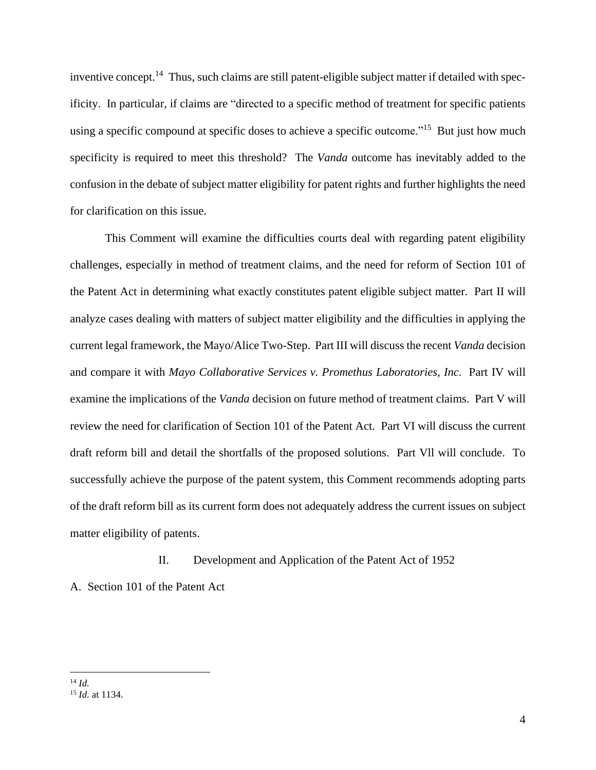inventive concept.<sup>14</sup> Thus, such claims are still patent-eligible subject matter if detailed with specificity. In particular, if claims are "directed to a specific method of treatment for specific patients using a specific compound at specific doses to achieve a specific outcome."<sup>15</sup> But just how much specificity is required to meet this threshold? The *Vanda* outcome has inevitably added to the confusion in the debate of subject matter eligibility for patent rights and further highlights the need for clarification on this issue.

This Comment will examine the difficulties courts deal with regarding patent eligibility challenges, especially in method of treatment claims, and the need for reform of Section 101 of the Patent Act in determining what exactly constitutes patent eligible subject matter. Part II will analyze cases dealing with matters of subject matter eligibility and the difficulties in applying the current legal framework, the Mayo/Alice Two-Step. Part III will discuss the recent *Vanda* decision and compare it with *Mayo Collaborative Services v. Promethus Laboratories, Inc*. Part IV will examine the implications of the *Vanda* decision on future method of treatment claims. Part V will review the need for clarification of Section 101 of the Patent Act. Part VI will discuss the current draft reform bill and detail the shortfalls of the proposed solutions. Part Vll will conclude. To successfully achieve the purpose of the patent system, this Comment recommends adopting parts of the draft reform bill as its current form does not adequately address the current issues on subject matter eligibility of patents.

## II. Development and Application of the Patent Act of 1952

A. Section 101 of the Patent Act

<sup>14</sup> *Id.*

<sup>15</sup> *Id.* at 1134.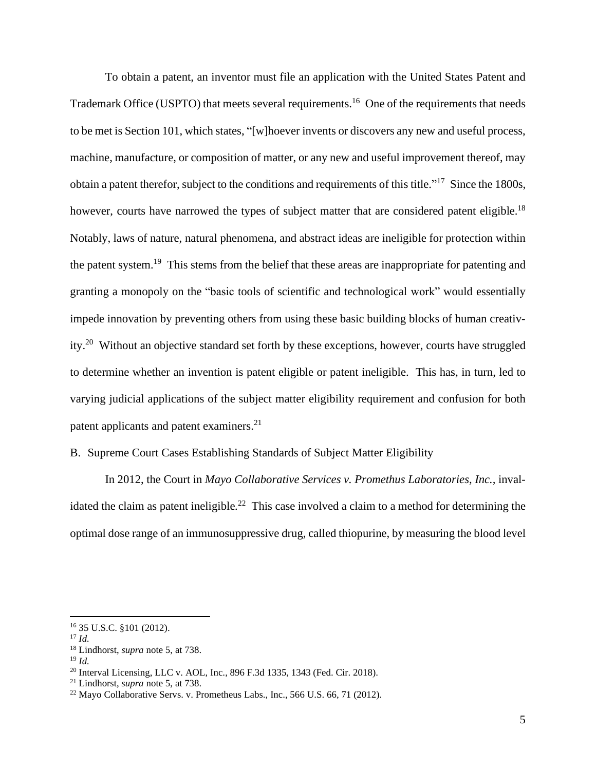To obtain a patent, an inventor must file an application with the United States Patent and Trademark Office (USPTO) that meets several requirements.<sup>16</sup> One of the requirements that needs to be met is Section 101, which states, "[w]hoever invents or discovers any new and useful process, machine, manufacture, or composition of matter, or any new and useful improvement thereof, may obtain a patent therefor, subject to the conditions and requirements of this title."<sup>17</sup> Since the 1800s, however, courts have narrowed the types of subject matter that are considered patent eligible.<sup>18</sup> Notably, laws of nature, natural phenomena, and abstract ideas are ineligible for protection within the patent system.<sup>19</sup> This stems from the belief that these areas are inappropriate for patenting and granting a monopoly on the "basic tools of scientific and technological work" would essentially impede innovation by preventing others from using these basic building blocks of human creativity.<sup>20</sup> Without an objective standard set forth by these exceptions, however, courts have struggled to determine whether an invention is patent eligible or patent ineligible. This has, in turn, led to varying judicial applications of the subject matter eligibility requirement and confusion for both patent applicants and patent examiners.<sup>21</sup>

## B. Supreme Court Cases Establishing Standards of Subject Matter Eligibility

In 2012, the Court in *Mayo Collaborative Services v. Promethus Laboratories, Inc.,* invalidated the claim as patent ineligible*.* 22 This case involved a claim to a method for determining the optimal dose range of an immunosuppressive drug, called thiopurine, by measuring the blood level

<sup>16</sup> 35 U.S.C. §101 (2012).

<sup>17</sup> *Id.*

<sup>18</sup> Lindhorst, *supra* note 5, at 738.

<sup>19</sup> *Id.*

<sup>20</sup> Interval Licensing, LLC v. AOL, Inc., 896 F.3d 1335, 1343 (Fed. Cir. 2018).

<sup>21</sup> Lindhorst, *supra* note 5, at 738.

<sup>22</sup> Mayo Collaborative Servs. v. Prometheus Labs., Inc., 566 U.S. 66, 71 (2012).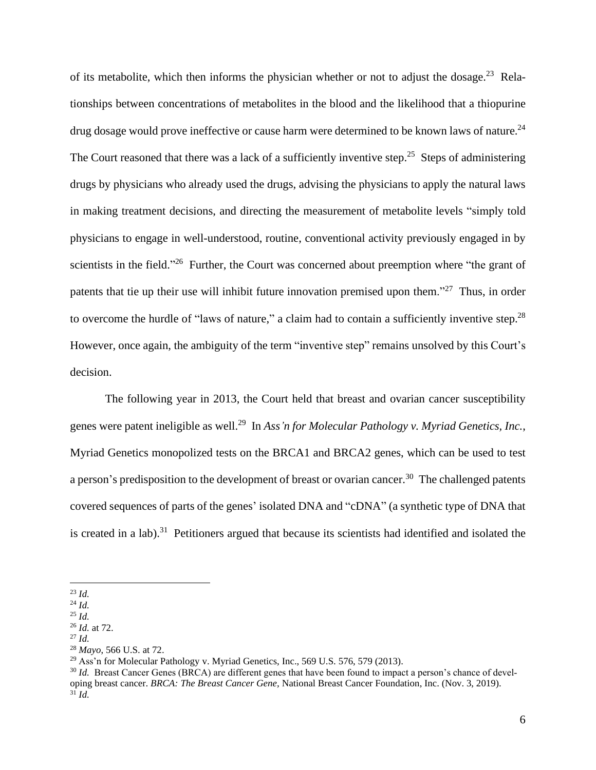of its metabolite, which then informs the physician whether or not to adjust the dosage.<sup>23</sup> Relationships between concentrations of metabolites in the blood and the likelihood that a thiopurine drug dosage would prove ineffective or cause harm were determined to be known laws of nature.<sup>24</sup> The Court reasoned that there was a lack of a sufficiently inventive step.<sup>25</sup> Steps of administering drugs by physicians who already used the drugs, advising the physicians to apply the natural laws in making treatment decisions, and directing the measurement of metabolite levels "simply told physicians to engage in well-understood, routine, conventional activity previously engaged in by scientists in the field."<sup>26</sup> Further, the Court was concerned about preemption where "the grant of patents that tie up their use will inhibit future innovation premised upon them."<sup>27</sup> Thus, in order to overcome the hurdle of "laws of nature," a claim had to contain a sufficiently inventive step.<sup>28</sup> However, once again, the ambiguity of the term "inventive step" remains unsolved by this Court's decision.

The following year in 2013, the Court held that breast and ovarian cancer susceptibility genes were patent ineligible as well.<sup>29</sup> In *Ass'n for Molecular Pathology v. Myriad Genetics, Inc.*, Myriad Genetics monopolized tests on the BRCA1 and BRCA2 genes, which can be used to test a person's predisposition to the development of breast or ovarian cancer.<sup>30</sup> The challenged patents covered sequences of parts of the genes' isolated DNA and "cDNA" (a synthetic type of DNA that is created in a lab).<sup>31</sup> Petitioners argued that because its scientists had identified and isolated the

<sup>27</sup> *Id.*

<sup>23</sup> *Id.*

<sup>24</sup> *Id.*

<sup>25</sup> *Id.*

<sup>26</sup> *Id.* at 72.

<sup>28</sup> *Mayo*, 566 U.S. at 72.

 $^{29}$  Ass'n for Molecular Pathology v. Myriad Genetics, Inc., 569 U.S. 576, 579 (2013).

<sup>&</sup>lt;sup>30</sup> *Id.* Breast Cancer Genes (BRCA) are different genes that have been found to impact a person's chance of developing breast cancer. *BRCA: The Breast Cancer Gene,* National Breast Cancer Foundation, Inc. (Nov. 3, 2019). <sup>31</sup> *Id.*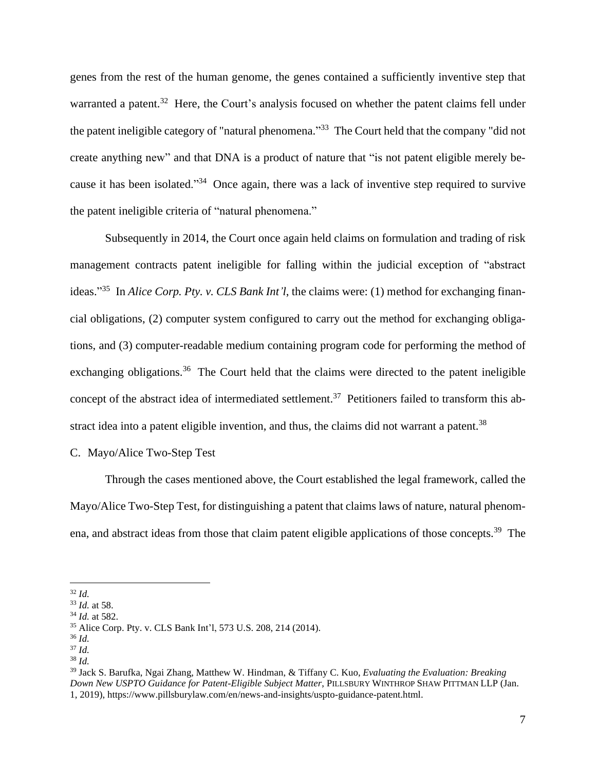genes from the rest of the human genome, the genes contained a sufficiently inventive step that warranted a patent.<sup>32</sup> Here, the Court's analysis focused on whether the patent claims fell under the patent ineligible category of "natural phenomena."<sup>33</sup> The Court held that the company "did not create anything new" and that DNA is a product of nature that "is not patent eligible merely because it has been isolated."<sup>34</sup> Once again, there was a lack of inventive step required to survive the patent ineligible criteria of "natural phenomena."

Subsequently in 2014, the Court once again held claims on formulation and trading of risk management contracts patent ineligible for falling within the judicial exception of "abstract ideas." 35 In *Alice Corp. Pty. v. CLS Bank Int'l*, the claims were: (1) method for exchanging financial obligations, (2) computer system configured to carry out the method for exchanging obligations, and (3) computer-readable medium containing program code for performing the method of exchanging obligations.<sup>36</sup> The Court held that the claims were directed to the patent ineligible concept of the abstract idea of intermediated settlement.<sup>37</sup> Petitioners failed to transform this abstract idea into a patent eligible invention, and thus, the claims did not warrant a patent.<sup>38</sup>

## C. Mayo/Alice Two-Step Test

Through the cases mentioned above, the Court established the legal framework, called the Mayo/Alice Two-Step Test, for distinguishing a patent that claims laws of nature, natural phenomena, and abstract ideas from those that claim patent eligible applications of those concepts.<sup>39</sup> The

<sup>36</sup> *Id.*

<sup>32</sup> *Id.*

<sup>33</sup> *Id.* at 58.

<sup>34</sup> *Id.* at 582.

<sup>35</sup> Alice Corp. Pty. v. CLS Bank Int'l, 573 U.S. 208, 214 (2014).

<sup>37</sup> *Id.*

<sup>38</sup> *Id.*

<sup>39</sup> Jack S. Barufka, Ngai Zhang, Matthew W. Hindman, & Tiffany C. Kuo, *Evaluating the Evaluation: Breaking Down New USPTO Guidance for Patent-Eligible Subject Matter*, PILLSBURY WINTHROP SHAW PITTMAN LLP (Jan. 1, 2019), https://www.pillsburylaw.com/en/news-and-insights/uspto-guidance-patent.html.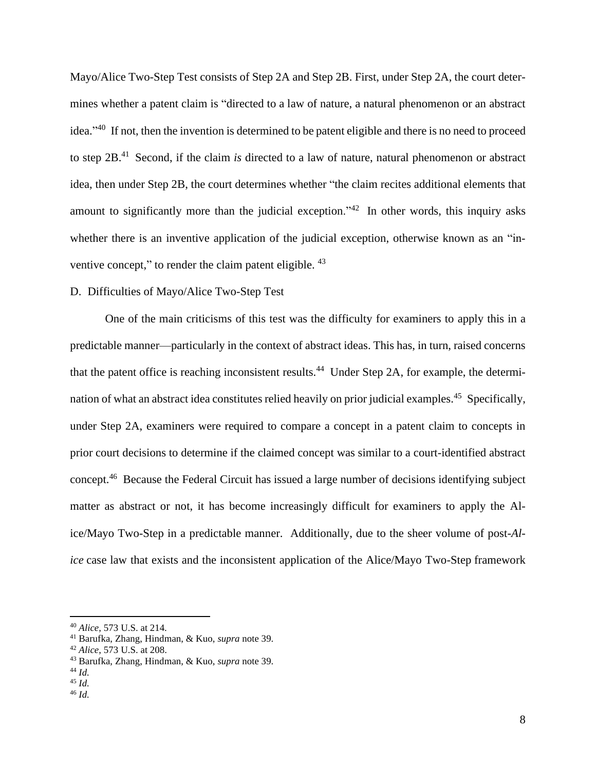Mayo/Alice Two-Step Test consists of Step 2A and Step 2B. First, under Step 2A, the court determines whether a patent claim is "directed to a law of nature, a natural phenomenon or an abstract idea."<sup>40</sup> If not, then the invention is determined to be patent eligible and there is no need to proceed to step 2B. 41 Second, if the claim *is* directed to a law of nature, natural phenomenon or abstract idea, then under Step 2B, the court determines whether "the claim recites additional elements that amount to significantly more than the judicial exception."<sup>42</sup> In other words, this inquiry asks whether there is an inventive application of the judicial exception, otherwise known as an "inventive concept," to render the claim patent eligible. <sup>43</sup>

## D. Difficulties of Mayo/Alice Two-Step Test

One of the main criticisms of this test was the difficulty for examiners to apply this in a predictable manner—particularly in the context of abstract ideas. This has, in turn, raised concerns that the patent office is reaching inconsistent results.<sup>44</sup> Under Step 2A, for example, the determination of what an abstract idea constitutes relied heavily on prior judicial examples.<sup>45</sup> Specifically, under Step 2A, examiners were required to compare a concept in a patent claim to concepts in prior court decisions to determine if the claimed concept was similar to a court-identified abstract concept.<sup>46</sup> Because the Federal Circuit has issued a large number of decisions identifying subject matter as abstract or not, it has become increasingly difficult for examiners to apply the Alice/Mayo Two-Step in a predictable manner. Additionally, due to the sheer volume of post-*Alice* case law that exists and the inconsistent application of the Alice/Mayo Two-Step framework

<sup>40</sup> *Alice*, 573 U.S. at 214.

<sup>41</sup> Barufka, Zhang, Hindman, & Kuo, *supra* note 39.

<sup>42</sup> *Alice*, 573 U.S. at 208.

<sup>43</sup> Barufka, Zhang, Hindman, & Kuo, *supra* note 39.

<sup>44</sup> *Id.*

<sup>45</sup> *Id.*

<sup>46</sup> *Id.*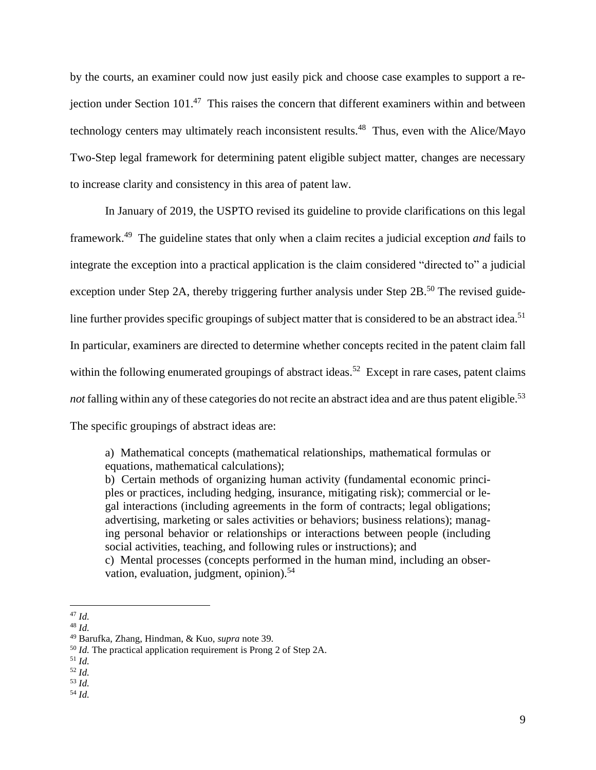by the courts, an examiner could now just easily pick and choose case examples to support a rejection under Section 101.<sup>47</sup> This raises the concern that different examiners within and between technology centers may ultimately reach inconsistent results.<sup>48</sup> Thus, even with the Alice/Mayo Two-Step legal framework for determining patent eligible subject matter, changes are necessary to increase clarity and consistency in this area of patent law.

In January of 2019, the USPTO revised its guideline to provide clarifications on this legal framework.<sup>49</sup> The guideline states that only when a claim recites a judicial exception *and* fails to integrate the exception into a practical application is the claim considered "directed to" a judicial exception under Step 2A, thereby triggering further analysis under Step 2B.<sup>50</sup> The revised guideline further provides specific groupings of subject matter that is considered to be an abstract idea.<sup>51</sup> In particular, examiners are directed to determine whether concepts recited in the patent claim fall within the following enumerated groupings of abstract ideas.<sup>52</sup> Except in rare cases, patent claims not falling within any of these categories do not recite an abstract idea and are thus patent eligible.<sup>53</sup> The specific groupings of abstract ideas are:

a) Mathematical concepts (mathematical relationships, mathematical formulas or equations, mathematical calculations);

b) Certain methods of organizing human activity (fundamental economic principles or practices, including hedging, insurance, mitigating risk); commercial or legal interactions (including agreements in the form of contracts; legal obligations; advertising, marketing or sales activities or behaviors; business relations); managing personal behavior or relationships or interactions between people (including social activities, teaching, and following rules or instructions); and

c) Mental processes (concepts performed in the human mind, including an observation, evaluation, judgment, opinion).<sup>54</sup>

<sup>47</sup> *Id.*

<sup>48</sup> *Id.*

<sup>49</sup> Barufka, Zhang, Hindman, & Kuo, *supra* note 39.

<sup>50</sup> *Id.* The practical application requirement is Prong 2 of Step 2A.

<sup>51</sup> *Id.*

<sup>52</sup> *Id.*

<sup>53</sup> *Id.*

<sup>54</sup> *Id.*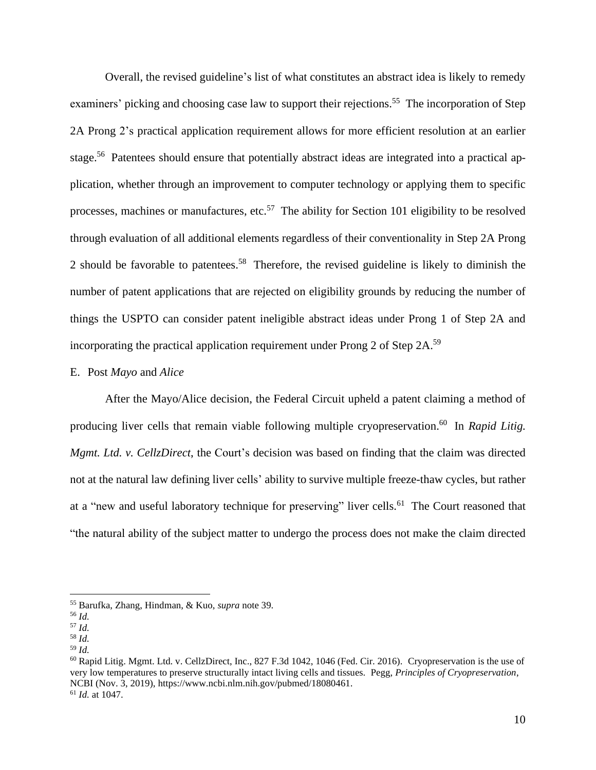Overall, the revised guideline's list of what constitutes an abstract idea is likely to remedy examiners' picking and choosing case law to support their rejections.<sup>55</sup> The incorporation of Step 2A Prong 2's practical application requirement allows for more efficient resolution at an earlier stage.<sup>56</sup> Patentees should ensure that potentially abstract ideas are integrated into a practical application, whether through an improvement to computer technology or applying them to specific processes, machines or manufactures, etc.<sup>57</sup> The ability for Section 101 eligibility to be resolved through evaluation of all additional elements regardless of their conventionality in Step 2A Prong 2 should be favorable to patentees.<sup>58</sup> Therefore, the revised guideline is likely to diminish the number of patent applications that are rejected on eligibility grounds by reducing the number of things the USPTO can consider patent ineligible abstract ideas under Prong 1 of Step 2A and incorporating the practical application requirement under Prong 2 of Step 2A.<sup>59</sup>

#### E. Post *Mayo* and *Alice*

After the Mayo/Alice decision, the Federal Circuit upheld a patent claiming a method of producing liver cells that remain viable following multiple cryopreservation. 60 In *Rapid Litig. Mgmt. Ltd. v. CellzDirect*, the Court's decision was based on finding that the claim was directed not at the natural law defining liver cells' ability to survive multiple freeze-thaw cycles, but rather at a "new and useful laboratory technique for preserving" liver cells.<sup>61</sup> The Court reasoned that "the natural ability of the subject matter to undergo the process does not make the claim directed

<sup>55</sup> Barufka, Zhang, Hindman, & Kuo, *supra* note 39.

<sup>56</sup> *Id.*

<sup>57</sup> *Id.*

<sup>58</sup> *Id.*

<sup>59</sup> *Id.*

 $^{60}$  Rapid Litig. Mgmt. Ltd. v. CellzDirect, Inc., 827 F.3d 1042, 1046 (Fed. Cir. 2016). Cryopreservation is the use of very low temperatures to preserve structurally intact living cells and tissues. Pegg, *Principles of Cryopreservation*, NCBI (Nov. 3, 2019), https://www.ncbi.nlm.nih.gov/pubmed/18080461. <sup>61</sup> *Id.* at 1047.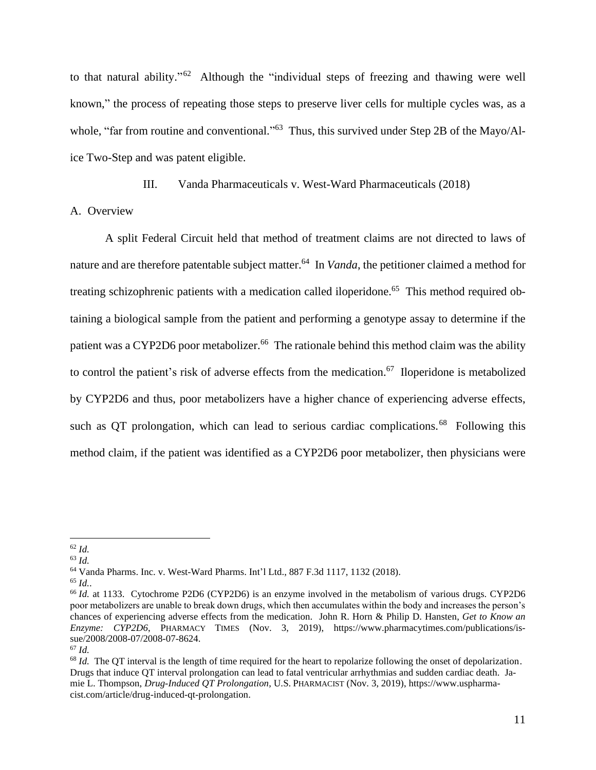to that natural ability."<sup>62</sup> Although the "individual steps of freezing and thawing were well known," the process of repeating those steps to preserve liver cells for multiple cycles was, as a whole, "far from routine and conventional."<sup>63</sup> Thus, this survived under Step 2B of the Mayo/Alice Two-Step and was patent eligible.

III. Vanda Pharmaceuticals v. West-Ward Pharmaceuticals (2018)

A. Overview

A split Federal Circuit held that method of treatment claims are not directed to laws of nature and are therefore patentable subject matter.<sup>64</sup> In *Vanda*, the petitioner claimed a method for treating schizophrenic patients with a medication called iloperidone.<sup>65</sup> This method required obtaining a biological sample from the patient and performing a genotype assay to determine if the patient was a CYP2D6 poor metabolizer.<sup>66</sup> The rationale behind this method claim was the ability to control the patient's risk of adverse effects from the medication. <sup>67</sup> Iloperidone is metabolized by CYP2D6 and thus, poor metabolizers have a higher chance of experiencing adverse effects, such as QT prolongation, which can lead to serious cardiac complications.<sup>68</sup> Following this method claim, if the patient was identified as a CYP2D6 poor metabolizer, then physicians were

<sup>63</sup> *Id.*

<sup>64</sup> Vanda Pharms. Inc. v. West-Ward Pharms. Int'l Ltd., 887 F.3d 1117, 1132 (2018).

<sup>62</sup> *Id.*

<sup>65</sup> *Id.*.

<sup>&</sup>lt;sup>66</sup> *Id.* at 1133. Cytochrome P2D6 (CYP2D6) is an enzyme involved in the metabolism of various drugs. CYP2D6 poor metabolizers are unable to break down drugs, which then accumulates within the body and increases the person's chances of experiencing adverse effects from the medication. John R. Horn & Philip D. Hansten, *Get to Know an Enzyme: CYP2D6*, PHARMACY TIMES (Nov. 3, 2019), https://www.pharmacytimes.com/publications/issue/2008/2008-07/2008-07-8624.

<sup>67</sup> *Id.*

<sup>&</sup>lt;sup>68</sup> *Id.* The QT interval is the length of time required for the heart to repolarize following the onset of depolarization. Drugs that induce QT interval prolongation can lead to fatal ventricular arrhythmias and sudden cardiac death. Jamie L. Thompson, *Drug-Induced QT Prolongation*, U.S. PHARMACIST (Nov. 3, 2019), https://www.uspharmacist.com/article/drug-induced-qt-prolongation.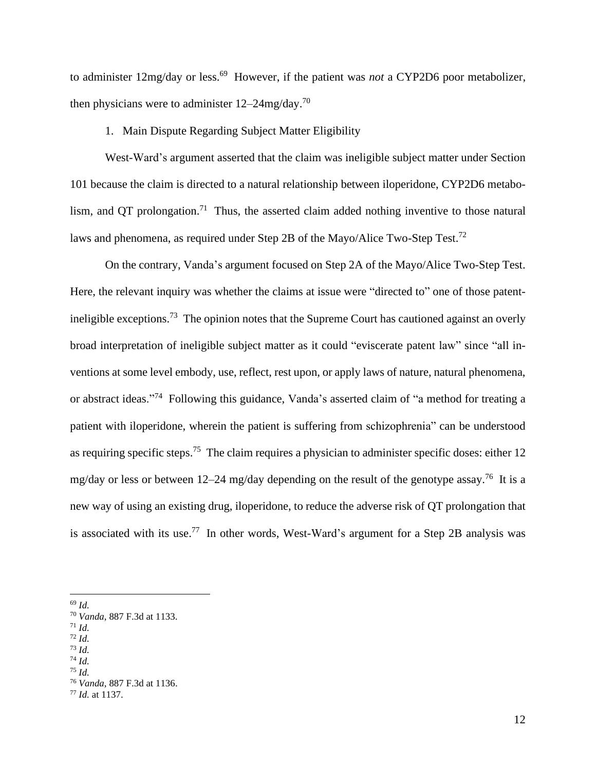to administer 12mg/day or less.<sup>69</sup> However, if the patient was *not* a CYP2D6 poor metabolizer, then physicians were to administer  $12-24$ mg/day.<sup>70</sup>

#### 1. Main Dispute Regarding Subject Matter Eligibility

West-Ward's argument asserted that the claim was ineligible subject matter under Section 101 because the claim is directed to a natural relationship between iloperidone, CYP2D6 metabolism, and QT prolongation.<sup>71</sup> Thus, the asserted claim added nothing inventive to those natural laws and phenomena, as required under Step 2B of the Mayo/Alice Two-Step Test.<sup>72</sup>

On the contrary, Vanda's argument focused on Step 2A of the Mayo/Alice Two-Step Test. Here, the relevant inquiry was whether the claims at issue were "directed to" one of those patentineligible exceptions.<sup>73</sup> The opinion notes that the Supreme Court has cautioned against an overly broad interpretation of ineligible subject matter as it could "eviscerate patent law" since "all inventions at some level embody, use, reflect, rest upon, or apply laws of nature, natural phenomena, or abstract ideas."<sup>74</sup> Following this guidance, Vanda's asserted claim of "a method for treating a patient with iloperidone, wherein the patient is suffering from schizophrenia" can be understood as requiring specific steps.<sup>75</sup> The claim requires a physician to administer specific doses: either 12 mg/day or less or between 12–24 mg/day depending on the result of the genotype assay.<sup>76</sup> It is a new way of using an existing drug, iloperidone, to reduce the adverse risk of QT prolongation that is associated with its use.<sup>77</sup> In other words, West-Ward's argument for a Step 2B analysis was

- $^{71}$  *Id.*
- <sup>72</sup> *Id.*

<sup>74</sup> *Id.*

<sup>69</sup> *Id.*

<sup>70</sup> *Vanda*, 887 F.3d at 1133.

<sup>73</sup> *Id.*

<sup>75</sup> *Id.*

<sup>76</sup> *Vanda*, 887 F.3d at 1136.

<sup>77</sup> *Id.* at 1137.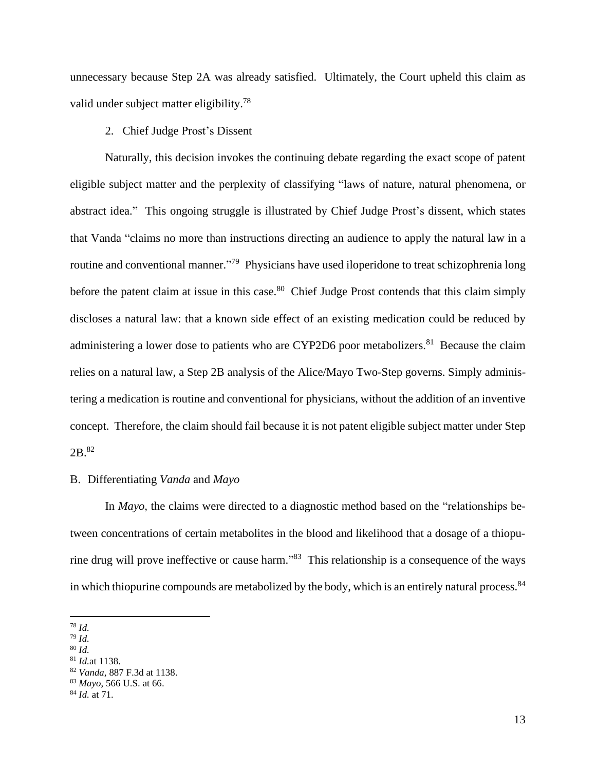unnecessary because Step 2A was already satisfied. Ultimately, the Court upheld this claim as valid under subject matter eligibility.<sup>78</sup>

# 2. Chief Judge Prost's Dissent

Naturally, this decision invokes the continuing debate regarding the exact scope of patent eligible subject matter and the perplexity of classifying "laws of nature, natural phenomena, or abstract idea." This ongoing struggle is illustrated by Chief Judge Prost's dissent, which states that Vanda "claims no more than instructions directing an audience to apply the natural law in a routine and conventional manner."<sup>79</sup> Physicians have used iloperidone to treat schizophrenia long before the patent claim at issue in this case.<sup>80</sup> Chief Judge Prost contends that this claim simply discloses a natural law: that a known side effect of an existing medication could be reduced by administering a lower dose to patients who are CYP2D6 poor metabolizers.<sup>81</sup> Because the claim relies on a natural law, a Step 2B analysis of the Alice/Mayo Two-Step governs. Simply administering a medication is routine and conventional for physicians, without the addition of an inventive concept. Therefore, the claim should fail because it is not patent eligible subject matter under Step 2B. 82

## B. Differentiating *Vanda* and *Mayo*

In *Mayo,* the claims were directed to a diagnostic method based on the "relationships between concentrations of certain metabolites in the blood and likelihood that a dosage of a thiopurine drug will prove ineffective or cause harm."<sup>83</sup> This relationship is a consequence of the ways in which thiopurine compounds are metabolized by the body, which is an entirely natural process.<sup>84</sup>

<sup>79</sup> *Id.*

<sup>78</sup> *Id.*

<sup>80</sup> *Id.*

<sup>81</sup> *Id.*at 1138.

<sup>82</sup> *Vanda,* 887 F.3d at 1138.

<sup>83</sup> *Mayo*, 566 U.S. at 66.

<sup>84</sup> *Id.* at 71.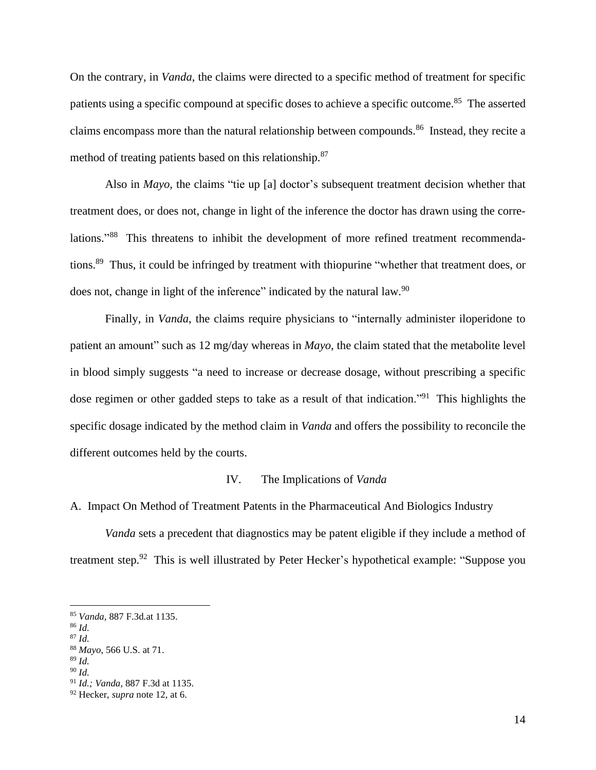On the contrary, in *Vanda*, the claims were directed to a specific method of treatment for specific patients using a specific compound at specific doses to achieve a specific outcome.<sup>85</sup> The asserted claims encompass more than the natural relationship between compounds.<sup>86</sup> Instead, they recite a method of treating patients based on this relationship.<sup>87</sup>

Also in *Mayo,* the claims "tie up [a] doctor's subsequent treatment decision whether that treatment does, or does not, change in light of the inference the doctor has drawn using the correlations."<sup>88</sup> This threatens to inhibit the development of more refined treatment recommendations.<sup>89</sup> Thus, it could be infringed by treatment with thiopurine "whether that treatment does, or does not, change in light of the inference" indicated by the natural law.<sup>90</sup>

Finally, in *Vanda*, the claims require physicians to "internally administer iloperidone to patient an amount" such as 12 mg/day whereas in *Mayo*, the claim stated that the metabolite level in blood simply suggests "a need to increase or decrease dosage, without prescribing a specific dose regimen or other gadded steps to take as a result of that indication."<sup>91</sup> This highlights the specific dosage indicated by the method claim in *Vanda* and offers the possibility to reconcile the different outcomes held by the courts.

## IV. The Implications of *Vanda*

A. Impact On Method of Treatment Patents in the Pharmaceutical And Biologics Industry

*Vanda* sets a precedent that diagnostics may be patent eligible if they include a method of treatment step.<sup>92</sup> This is well illustrated by Peter Hecker's hypothetical example: "Suppose you

<sup>85</sup> *Vanda,* 887 F.3d*.*at 1135.

<sup>86</sup> *Id.*

<sup>87</sup> *Id.*

<sup>88</sup> *Mayo*, 566 U.S. at 71.

<sup>89</sup> *Id.*

<sup>90</sup> *Id.*

<sup>91</sup> *Id.; Vanda,* 887 F.3d at 1135.

<sup>92</sup> Hecker, *supra* note 12, at 6.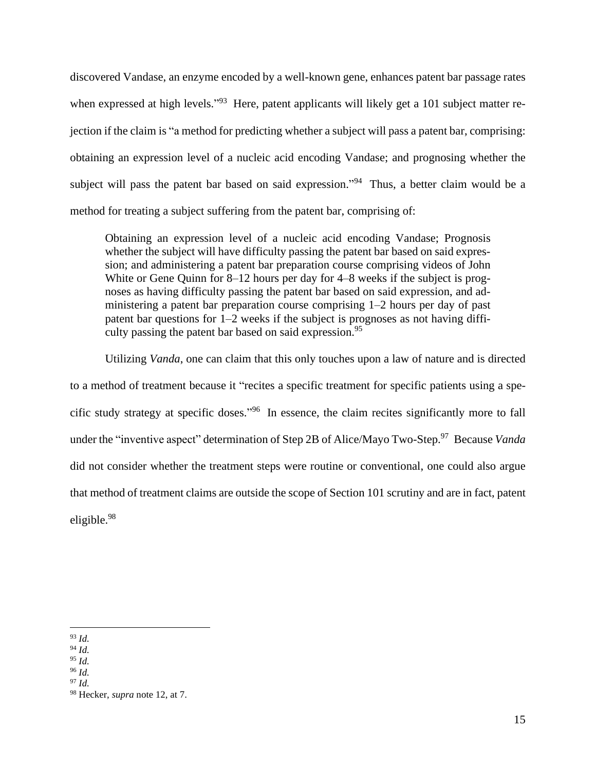discovered Vandase, an enzyme encoded by a well-known gene, enhances patent bar passage rates when expressed at high levels."<sup>93</sup> Here, patent applicants will likely get a 101 subject matter rejection if the claim is "a method for predicting whether a subject will pass a patent bar, comprising: obtaining an expression level of a nucleic acid encoding Vandase; and prognosing whether the subject will pass the patent bar based on said expression."<sup>94</sup> Thus, a better claim would be a method for treating a subject suffering from the patent bar, comprising of:

Obtaining an expression level of a nucleic acid encoding Vandase; Prognosis whether the subject will have difficulty passing the patent bar based on said expression; and administering a patent bar preparation course comprising videos of John White or Gene Quinn for 8–12 hours per day for 4–8 weeks if the subject is prognoses as having difficulty passing the patent bar based on said expression, and administering a patent bar preparation course comprising 1–2 hours per day of past patent bar questions for 1–2 weeks if the subject is prognoses as not having difficulty passing the patent bar based on said expression.<sup>95</sup>

Utilizing *Vanda*, one can claim that this only touches upon a law of nature and is directed to a method of treatment because it "recites a specific treatment for specific patients using a specific study strategy at specific doses." 96 In essence, the claim recites significantly more to fall under the "inventive aspect" determination of Step 2B of Alice/Mayo Two-Step. 97 Because *Vanda* did not consider whether the treatment steps were routine or conventional, one could also argue that method of treatment claims are outside the scope of Section 101 scrutiny and are in fact, patent eligible.<sup>98</sup>

<sup>93</sup> *Id.*

<sup>94</sup> *Id.*

<sup>95</sup> *Id.*

<sup>96</sup> *Id.*

<sup>97</sup> *Id.*

<sup>98</sup> Hecker, *supra* note 12, at 7.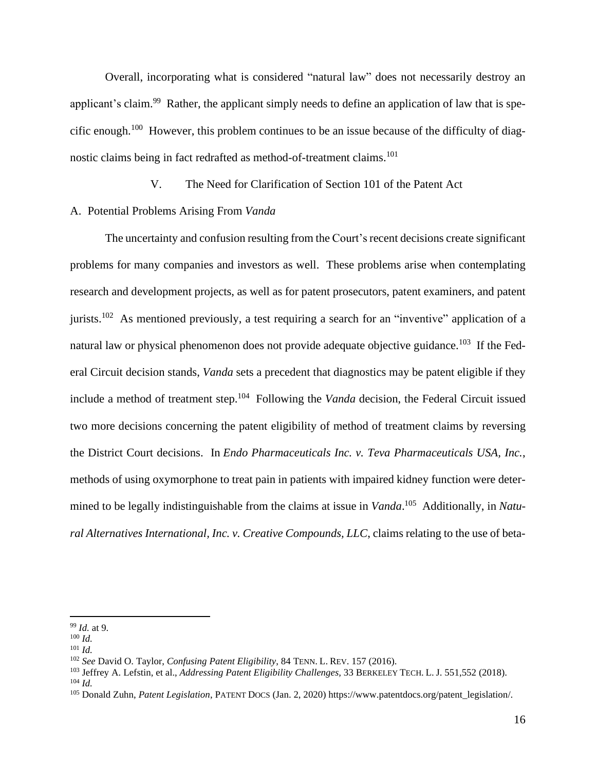Overall, incorporating what is considered "natural law" does not necessarily destroy an applicant's claim.<sup>99</sup> Rather, the applicant simply needs to define an application of law that is specific enough.<sup>100</sup> However, this problem continues to be an issue because of the difficulty of diagnostic claims being in fact redrafted as method-of-treatment claims.<sup>101</sup>

V. The Need for Clarification of Section 101 of the Patent Act

## A. Potential Problems Arising From *Vanda*

The uncertainty and confusion resulting from the Court's recent decisions create significant problems for many companies and investors as well. These problems arise when contemplating research and development projects, as well as for patent prosecutors, patent examiners, and patent jurists.<sup>102</sup> As mentioned previously, a test requiring a search for an "inventive" application of a natural law or physical phenomenon does not provide adequate objective guidance.<sup>103</sup> If the Federal Circuit decision stands, *Vanda* sets a precedent that diagnostics may be patent eligible if they include a method of treatment step.<sup>104</sup> Following the *Vanda* decision, the Federal Circuit issued two more decisions concerning the patent eligibility of method of treatment claims by reversing the District Court decisions. In *Endo Pharmaceuticals Inc. v. Teva Pharmaceuticals USA, Inc.*, methods of using oxymorphone to treat pain in patients with impaired kidney function were determined to be legally indistinguishable from the claims at issue in *Vanda*. <sup>105</sup> Additionally, in *Natural Alternatives International, Inc. v. Creative Compounds, LLC*, claims relating to the use of beta-

<sup>99</sup> *Id.* at 9.

<sup>100</sup> *Id.*

<sup>101</sup> *Id.*

<sup>102</sup> *See* David O. Taylor, *Confusing Patent Eligibility*, 84 TENN. L. REV. 157 (2016).

<sup>103</sup> Jeffrey A. Lefstin, et al., *Addressing Patent Eligibility Challenges,* 33 BERKELEY TECH. L. J. 551,552 (2018).  $104$  *Id.* 

<sup>105</sup> Donald Zuhn, *Patent Legislation*, PATENT DOCS (Jan. 2, 2020) https://www.patentdocs.org/patent\_legislation/.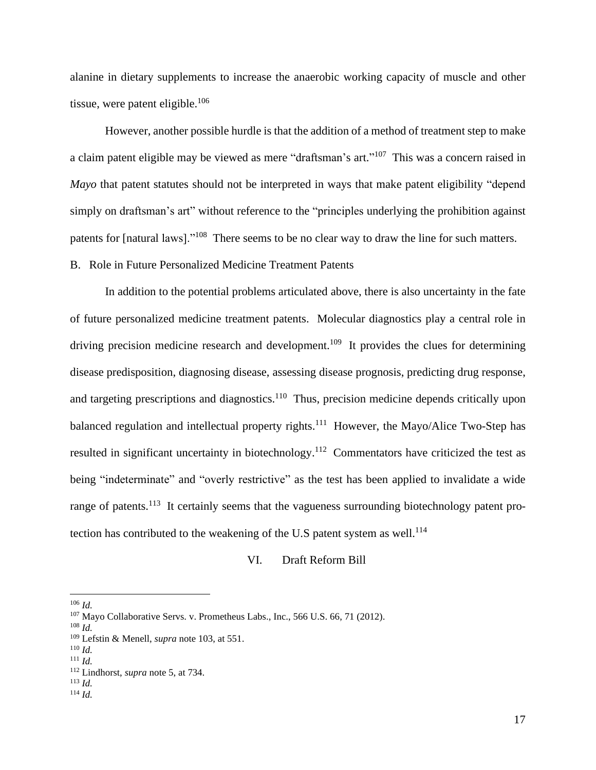alanine in dietary supplements to increase the anaerobic working capacity of muscle and other tissue, were patent eligible. $106$ 

However, another possible hurdle is that the addition of a method of treatment step to make a claim patent eligible may be viewed as mere "draftsman's art."<sup>107</sup> This was a concern raised in *Mayo* that patent statutes should not be interpreted in ways that make patent eligibility "depend" simply on draftsman's art" without reference to the "principles underlying the prohibition against patents for [natural laws]."<sup>108</sup> There seems to be no clear way to draw the line for such matters.

# B. Role in Future Personalized Medicine Treatment Patents

In addition to the potential problems articulated above, there is also uncertainty in the fate of future personalized medicine treatment patents. Molecular diagnostics play a central role in driving precision medicine research and development.<sup>109</sup> It provides the clues for determining disease predisposition, diagnosing disease, assessing disease prognosis, predicting drug response, and targeting prescriptions and diagnostics.<sup>110</sup> Thus, precision medicine depends critically upon balanced regulation and intellectual property rights.<sup>111</sup> However, the Mayo/Alice Two-Step has resulted in significant uncertainty in biotechnology.<sup>112</sup> Commentators have criticized the test as being "indeterminate" and "overly restrictive" as the test has been applied to invalidate a wide range of patents.<sup>113</sup> It certainly seems that the vagueness surrounding biotechnology patent protection has contributed to the weakening of the U.S patent system as well.<sup>114</sup>

#### VI. Draft Reform Bill

<sup>113</sup> *Id.* <sup>114</sup> *Id.*

<sup>106</sup> *Id.*

<sup>107</sup> Mayo Collaborative Servs. v. Prometheus Labs., Inc., 566 U.S. 66, 71 (2012).

<sup>108</sup> *Id.*

<sup>109</sup> Lefstin & Menell, *supra* note 103, at 551.

<sup>110</sup> *Id.*

 $^{111}$  *Id*.

<sup>112</sup> Lindhorst, *supra* note 5, at 734.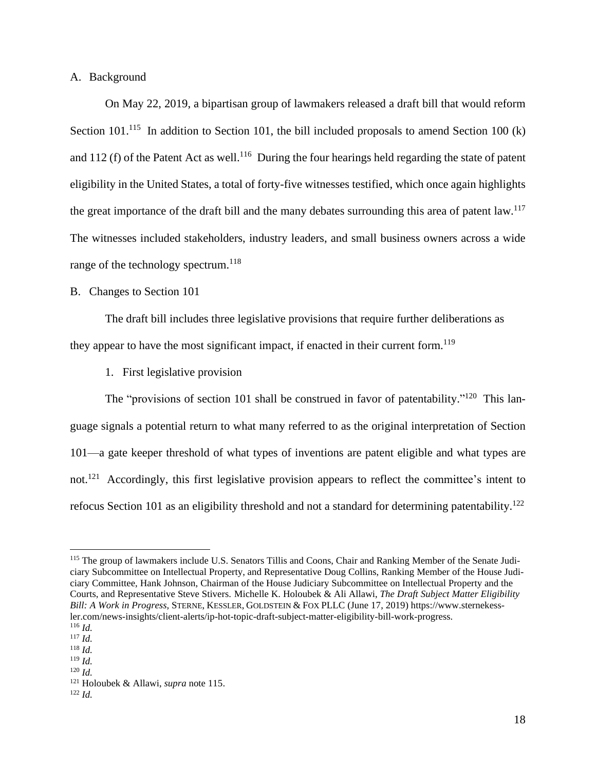A. Background

On May 22, 2019, a bipartisan group of lawmakers released a draft bill that would reform Section 101.<sup>115</sup> In addition to Section 101, the bill included proposals to amend Section 100 (k) and 112 (f) of the Patent Act as well.<sup>116</sup> During the four hearings held regarding the state of patent eligibility in the United States, a total of forty-five witnesses testified, which once again highlights the great importance of the draft bill and the many debates surrounding this area of patent law.<sup>117</sup> The witnesses included stakeholders, industry leaders, and small business owners across a wide range of the technology spectrum.<sup>118</sup>

## B. Changes to Section 101

The draft bill includes three legislative provisions that require further deliberations as they appear to have the most significant impact, if enacted in their current form.<sup>119</sup>

1. First legislative provision

The "provisions of section 101 shall be construed in favor of patentability."<sup>120</sup> This language signals a potential return to what many referred to as the original interpretation of Section 101—a gate keeper threshold of what types of inventions are patent eligible and what types are not.<sup>121</sup> Accordingly, this first legislative provision appears to reflect the committee's intent to refocus Section 101 as an eligibility threshold and not a standard for determining patentability.<sup>122</sup>

<sup>&</sup>lt;sup>115</sup> The group of lawmakers include U.S. Senators Tillis and Coons, Chair and Ranking Member of the Senate Judiciary Subcommittee on Intellectual Property, and Representative Doug Collins, Ranking Member of the House Judiciary Committee, Hank Johnson, Chairman of the House Judiciary Subcommittee on Intellectual Property and the Courts, and Representative Steve Stivers. Michelle K. Holoubek & Ali Allawi, *The Draft Subject Matter Eligibility Bill: A Work in Progress,* STERNE, KESSLER, GOLDSTEIN & FOX PLLC (June 17, 2019) https://www.sternekessler.com/news-insights/client-alerts/ip-hot-topic-draft-subject-matter-eligibility-bill-work-progress. <sup>116</sup> *Id.*

<sup>117</sup> *Id.*

<sup>118</sup> *Id.*

<sup>119</sup> *Id.*

<sup>120</sup> *Id.*

<sup>121</sup> Holoubek & Allawi, *supra* note 115.

<sup>122</sup> *Id.*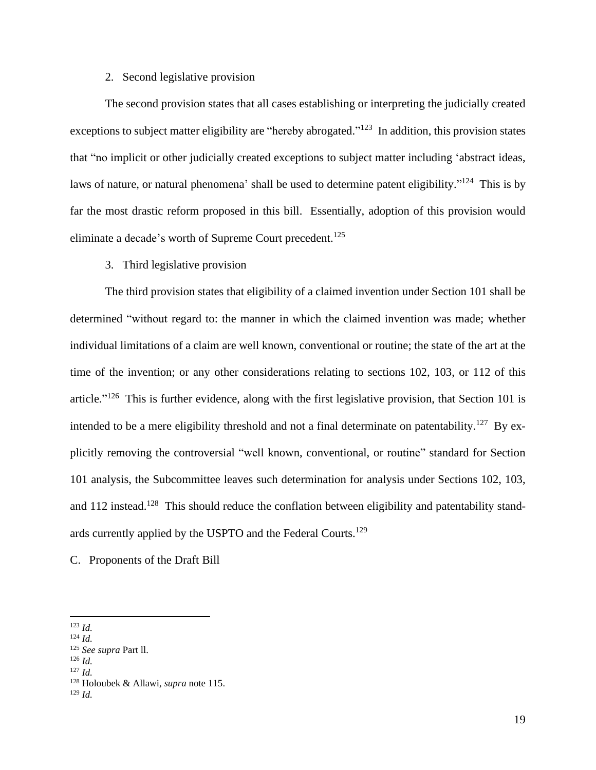## 2. Second legislative provision

The second provision states that all cases establishing or interpreting the judicially created exceptions to subject matter eligibility are "hereby abrogated."<sup>123</sup> In addition, this provision states that "no implicit or other judicially created exceptions to subject matter including 'abstract ideas, laws of nature, or natural phenomena' shall be used to determine patent eligibility."<sup>124</sup> This is by far the most drastic reform proposed in this bill. Essentially, adoption of this provision would eliminate a decade's worth of Supreme Court precedent.<sup>125</sup>

## 3. Third legislative provision

The third provision states that eligibility of a claimed invention under Section 101 shall be determined "without regard to: the manner in which the claimed invention was made; whether individual limitations of a claim are well known, conventional or routine; the state of the art at the time of the invention; or any other considerations relating to sections 102, 103, or 112 of this article."<sup>126</sup> This is further evidence, along with the first legislative provision, that Section 101 is intended to be a mere eligibility threshold and not a final determinate on patentability.<sup>127</sup> By explicitly removing the controversial "well known, conventional, or routine" standard for Section 101 analysis, the Subcommittee leaves such determination for analysis under Sections 102, 103, and 112 instead.<sup>128</sup> This should reduce the conflation between eligibility and patentability standards currently applied by the USPTO and the Federal Courts.<sup>129</sup>

C. Proponents of the Draft Bill

<sup>123</sup> *Id.*

<sup>124</sup> *Id.*

<sup>125</sup> *See supra* Part ll.

<sup>126</sup> *Id.*

<sup>127</sup> *Id.*

<sup>128</sup> Holoubek & Allawi, *supra* note 115. <sup>129</sup> *Id.*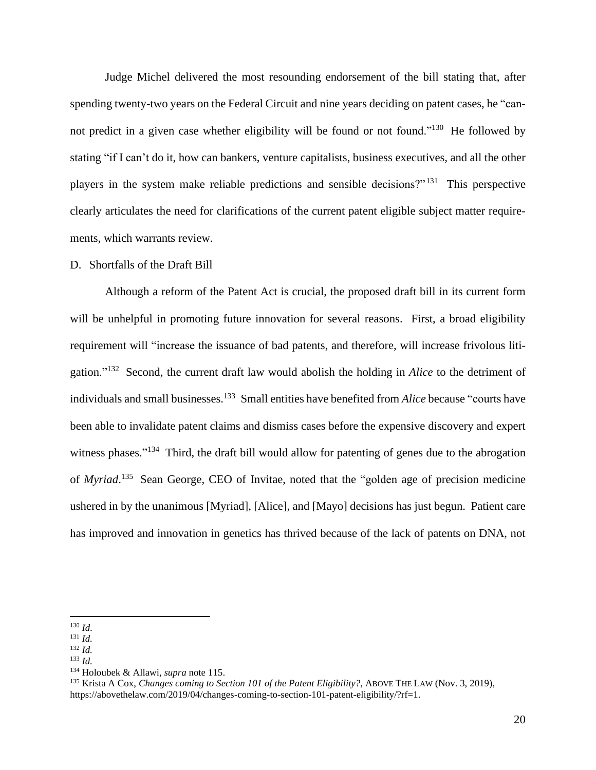Judge Michel delivered the most resounding endorsement of the bill stating that, after spending twenty-two years on the Federal Circuit and nine years deciding on patent cases, he "cannot predict in a given case whether eligibility will be found or not found."<sup>130</sup> He followed by stating "if I can't do it, how can bankers, venture capitalists, business executives, and all the other players in the system make reliable predictions and sensible decisions?"<sup>131</sup> This perspective clearly articulates the need for clarifications of the current patent eligible subject matter requirements, which warrants review.

#### D. Shortfalls of the Draft Bill

Although a reform of the Patent Act is crucial, the proposed draft bill in its current form will be unhelpful in promoting future innovation for several reasons. First, a broad eligibility requirement will "increase the issuance of bad patents, and therefore, will increase frivolous litigation."<sup>132</sup> Second, the current draft law would abolish the holding in *Alice* to the detriment of individuals and small businesses. 133 Small entities have benefited from *Alice* because "courts have been able to invalidate patent claims and dismiss cases before the expensive discovery and expert witness phases."<sup>134</sup> Third, the draft bill would allow for patenting of genes due to the abrogation of *Myriad*. 135 Sean George, CEO of Invitae, noted that the "golden age of precision medicine ushered in by the unanimous [Myriad], [Alice], and [Mayo] decisions has just begun. Patient care has improved and innovation in genetics has thrived because of the lack of patents on DNA, not

<sup>130</sup> *Id.*

<sup>131</sup> *Id.*

<sup>132</sup> *Id.*

<sup>133</sup> *Id.*

<sup>134</sup> Holoubek & Allawi, *supra* note 115.

<sup>135</sup> Krista A Cox, *Changes coming to Section 101 of the Patent Eligibility?*, ABOVE THE LAW (Nov. 3, 2019), https://abovethelaw.com/2019/04/changes-coming-to-section-101-patent-eligibility/?rf=1.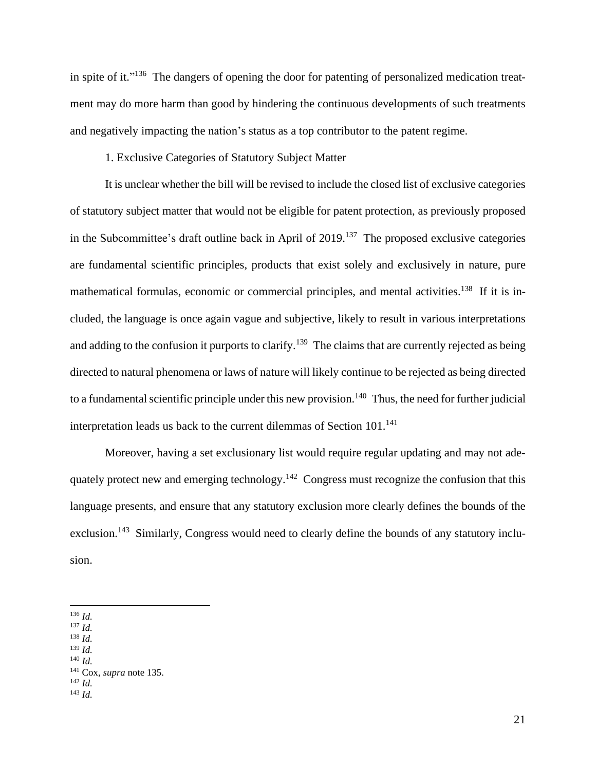in spite of it."<sup>136</sup> The dangers of opening the door for patenting of personalized medication treatment may do more harm than good by hindering the continuous developments of such treatments and negatively impacting the nation's status as a top contributor to the patent regime.

1. Exclusive Categories of Statutory Subject Matter

It is unclear whether the bill will be revised to include the closed list of exclusive categories of statutory subject matter that would not be eligible for patent protection, as previously proposed in the Subcommittee's draft outline back in April of  $2019$ .<sup>137</sup> The proposed exclusive categories are fundamental scientific principles, products that exist solely and exclusively in nature, pure mathematical formulas, economic or commercial principles, and mental activities.<sup>138</sup> If it is included, the language is once again vague and subjective, likely to result in various interpretations and adding to the confusion it purports to clarify.<sup>139</sup> The claims that are currently rejected as being directed to natural phenomena or laws of nature will likely continue to be rejected as being directed to a fundamental scientific principle under this new provision.<sup>140</sup> Thus, the need for further judicial interpretation leads us back to the current dilemmas of Section  $101$ <sup>141</sup>

Moreover, having a set exclusionary list would require regular updating and may not adequately protect new and emerging technology.<sup>142</sup> Congress must recognize the confusion that this language presents, and ensure that any statutory exclusion more clearly defines the bounds of the exclusion.<sup>143</sup> Similarly, Congress would need to clearly define the bounds of any statutory inclusion.

- <sup>137</sup> *Id.*
- <sup>138</sup> *Id.*
- <sup>139</sup> *Id.* <sup>140</sup> *Id.*

<sup>136</sup> *Id.*

<sup>141</sup> Cox, *supra* note 135.

<sup>142</sup> *Id.*

<sup>143</sup> *Id.*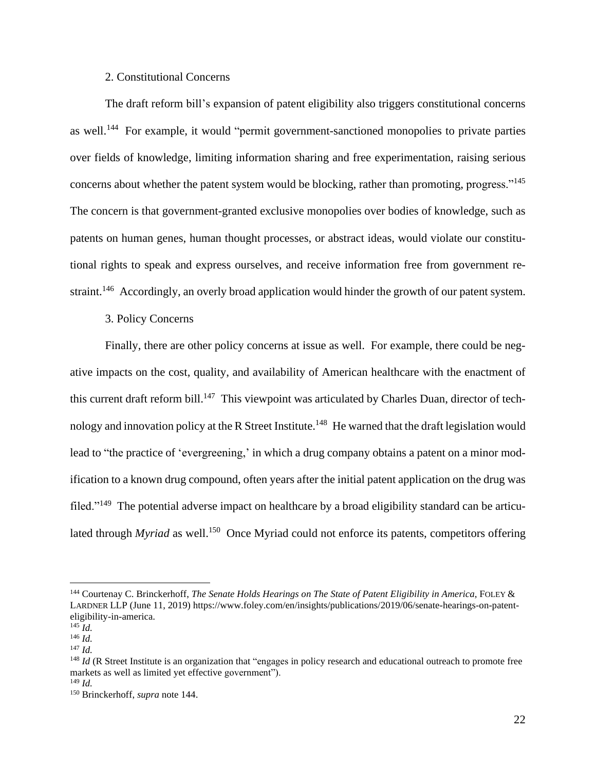## 2. Constitutional Concerns

The draft reform bill's expansion of patent eligibility also triggers constitutional concerns as well.<sup>144</sup> For example, it would "permit government-sanctioned monopolies to private parties over fields of knowledge, limiting information sharing and free experimentation, raising serious concerns about whether the patent system would be blocking, rather than promoting, progress."<sup>145</sup> The concern is that government-granted exclusive monopolies over bodies of knowledge, such as patents on human genes, human thought processes, or abstract ideas, would violate our constitutional rights to speak and express ourselves, and receive information free from government restraint.<sup>146</sup> Accordingly, an overly broad application would hinder the growth of our patent system.

3. Policy Concerns

Finally, there are other policy concerns at issue as well. For example, there could be negative impacts on the cost, quality, and availability of American healthcare with the enactment of this current draft reform bill.<sup>147</sup> This viewpoint was articulated by Charles Duan, director of technology and innovation policy at the R Street Institute.<sup>148</sup> He warned that the draft legislation would lead to "the practice of 'evergreening,' in which a drug company obtains a patent on a minor modification to a known drug compound, often years after the initial patent application on the drug was filed."<sup>149</sup> The potential adverse impact on healthcare by a broad eligibility standard can be articulated through *Myriad* as well.<sup>150</sup> Once Myriad could not enforce its patents, competitors offering

<sup>144</sup> Courtenay C. Brinckerhoff, *The Senate Holds Hearings on The State of Patent Eligibility in America*, FOLEY & LARDNER LLP (June 11, 2019) https://www.foley.com/en/insights/publications/2019/06/senate-hearings-on-patenteligibility-in-america.

 $^{145}$  *Id.* <sup>146</sup> *Id.*

<sup>147</sup> *Id.*

<sup>&</sup>lt;sup>148</sup> *Id* (R Street Institute is an organization that "engages in policy research and educational outreach to promote free markets as well as limited yet effective government").

<sup>149</sup> *Id.*

<sup>150</sup> Brinckerhoff, *supra* note 144.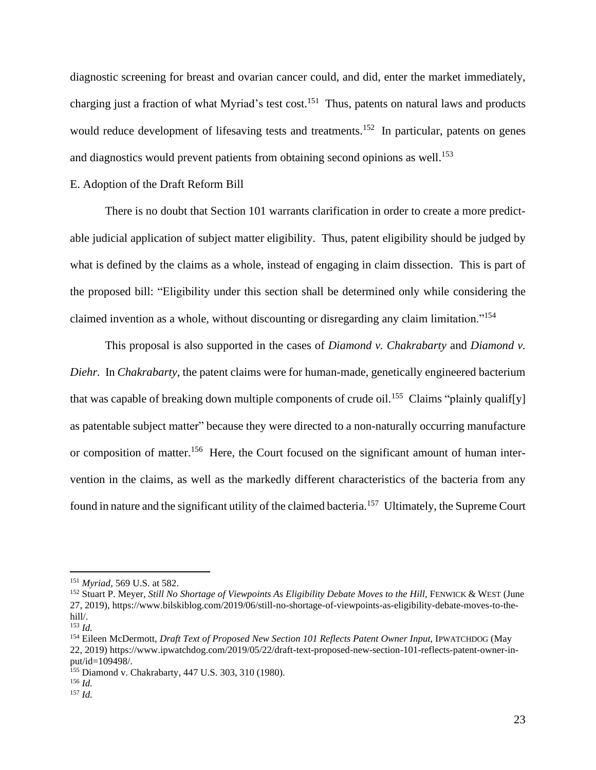diagnostic screening for breast and ovarian cancer could, and did, enter the market immediately, charging just a fraction of what Myriad's test cost.<sup>151</sup> Thus, patents on natural laws and products would reduce development of lifesaving tests and treatments.<sup>152</sup> In particular, patents on genes and diagnostics would prevent patients from obtaining second opinions as well.<sup>153</sup>

## E. Adoption of the Draft Reform Bill

There is no doubt that Section 101 warrants clarification in order to create a more predictable judicial application of subject matter eligibility. Thus, patent eligibility should be judged by what is defined by the claims as a whole, instead of engaging in claim dissection. This is part of the proposed bill: "Eligibility under this section shall be determined only while considering the claimed invention as a whole, without discounting or disregarding any claim limitation."<sup>154</sup>

This proposal is also supported in the cases of *Diamond v. Chakrabarty* and *Diamond v. Diehr.* In *Chakrabarty*, the patent claims were for human-made, genetically engineered bacterium that was capable of breaking down multiple components of crude oil.<sup>155</sup> Claims "plainly qualif[y] as patentable subject matter" because they were directed to a non-naturally occurring manufacture or composition of matter.<sup>156</sup> Here, the Court focused on the significant amount of human intervention in the claims, as well as the markedly different characteristics of the bacteria from any found in nature and the significant utility of the claimed bacteria.<sup>157</sup> Ultimately, the Supreme Court

<sup>151</sup> *Myriad*, 569 U.S. at 582.

<sup>152</sup> Stuart P. Meyer, *Still No Shortage of Viewpoints As Eligibility Debate Moves to the Hill*, FENWICK & WEST (June 27, 2019), https://www.bilskiblog.com/2019/06/still-no-shortage-of-viewpoints-as-eligibility-debate-moves-to-thehill/.

<sup>153</sup> *Id.*

<sup>154</sup> Eileen McDermott, *Draft Text of Proposed New Section 101 Reflects Patent Owner Input*, IPWATCHDOG (May 22, 2019) https://www.ipwatchdog.com/2019/05/22/draft-text-proposed-new-section-101-reflects-patent-owner-input/id=109498/.

<sup>&</sup>lt;sup>155</sup> Diamond v. Chakrabarty, 447 U.S. 303, 310 (1980).

<sup>156</sup> *Id.*

<sup>157</sup> *Id.*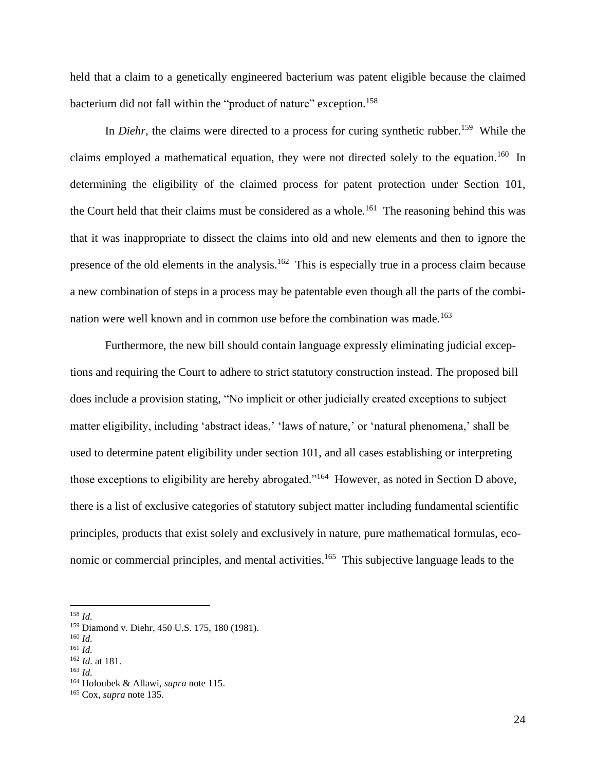held that a claim to a genetically engineered bacterium was patent eligible because the claimed bacterium did not fall within the "product of nature" exception.<sup>158</sup>

In *Diehr*, the claims were directed to a process for curing synthetic rubber.<sup>159</sup> While the claims employed a mathematical equation, they were not directed solely to the equation.<sup>160</sup> In determining the eligibility of the claimed process for patent protection under Section 101, the Court held that their claims must be considered as a whole.<sup>161</sup> The reasoning behind this was that it was inappropriate to dissect the claims into old and new elements and then to ignore the presence of the old elements in the analysis.<sup>162</sup> This is especially true in a process claim because a new combination of steps in a process may be patentable even though all the parts of the combination were well known and in common use before the combination was made.<sup>163</sup>

Furthermore, the new bill should contain language expressly eliminating judicial exceptions and requiring the Court to adhere to strict statutory construction instead. The proposed bill does include a provision stating, "No implicit or other judicially created exceptions to subject matter eligibility, including 'abstract ideas,' 'laws of nature,' or 'natural phenomena,' shall be used to determine patent eligibility under section 101, and all cases establishing or interpreting those exceptions to eligibility are hereby abrogated."<sup>164</sup> However, as noted in Section D above, there is a list of exclusive categories of statutory subject matter including fundamental scientific principles, products that exist solely and exclusively in nature, pure mathematical formulas, economic or commercial principles, and mental activities.<sup>165</sup> This subjective language leads to the

<sup>158</sup> *Id.*

<sup>160</sup> *Id.*

<sup>163</sup> *Id.*

<sup>159</sup> Diamond v. Diehr, 450 U.S. 175, 180 (1981).

<sup>161</sup> *Id.*

<sup>162</sup> *Id.* at 181.

<sup>164</sup> Holoubek & Allawi, *supra* note 115.

<sup>165</sup> Cox, *supra* note 135.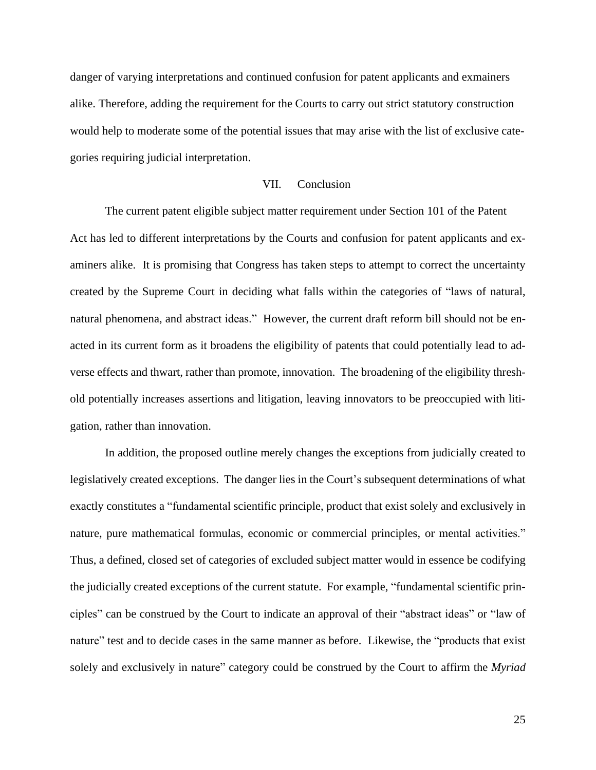danger of varying interpretations and continued confusion for patent applicants and exmainers alike. Therefore, adding the requirement for the Courts to carry out strict statutory construction would help to moderate some of the potential issues that may arise with the list of exclusive categories requiring judicial interpretation.

# VII. Conclusion

The current patent eligible subject matter requirement under Section 101 of the Patent Act has led to different interpretations by the Courts and confusion for patent applicants and examiners alike. It is promising that Congress has taken steps to attempt to correct the uncertainty created by the Supreme Court in deciding what falls within the categories of "laws of natural, natural phenomena, and abstract ideas." However, the current draft reform bill should not be enacted in its current form as it broadens the eligibility of patents that could potentially lead to adverse effects and thwart, rather than promote, innovation. The broadening of the eligibility threshold potentially increases assertions and litigation, leaving innovators to be preoccupied with litigation, rather than innovation.

In addition, the proposed outline merely changes the exceptions from judicially created to legislatively created exceptions. The danger lies in the Court's subsequent determinations of what exactly constitutes a "fundamental scientific principle, product that exist solely and exclusively in nature, pure mathematical formulas, economic or commercial principles, or mental activities." Thus, a defined, closed set of categories of excluded subject matter would in essence be codifying the judicially created exceptions of the current statute. For example, "fundamental scientific principles" can be construed by the Court to indicate an approval of their "abstract ideas" or "law of nature" test and to decide cases in the same manner as before. Likewise, the "products that exist solely and exclusively in nature" category could be construed by the Court to affirm the *Myriad*